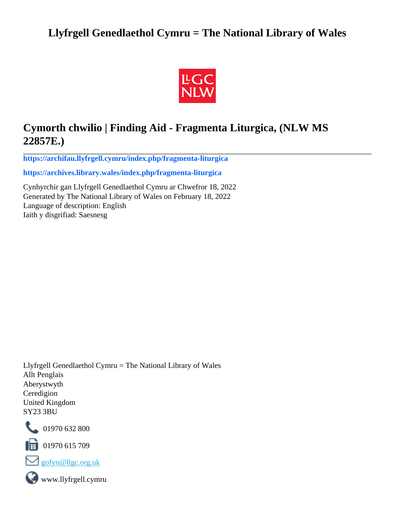# **Llyfrgell Genedlaethol Cymru = The National Library of Wales**



# **Cymorth chwilio | Finding Aid - Fragmenta Liturgica, (NLW MS 22857E.)**

**[https://archifau.llyfrgell.cymru/index.php/fragmenta-liturgica](https://archifau.llyfrgell.cymru/index.php/fragmenta-liturgica;isad?sf_culture=cy)**

**[https://archives.library.wales/index.php/fragmenta-liturgica](https://archives.library.wales/index.php/fragmenta-liturgica;isad?sf_culture=en)**

Cynhyrchir gan Llyfrgell Genedlaethol Cymru ar Chwefror 18, 2022 Generated by The National Library of Wales on February 18, 2022 Language of description: English Iaith y disgrifiad: Saesnesg

Llyfrgell Genedlaethol Cymru = The National Library of Wales Allt Penglais Aberystwyth Ceredigion United Kingdom SY23 3BU



101970 632 800

 $\blacksquare$  01970 615 709



www.llyfrgell.cymru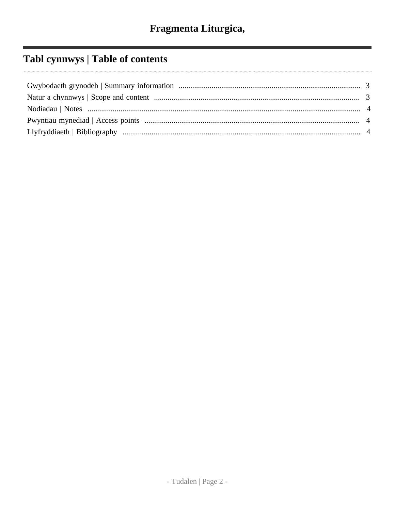# Tabl cynnwys | Table of contents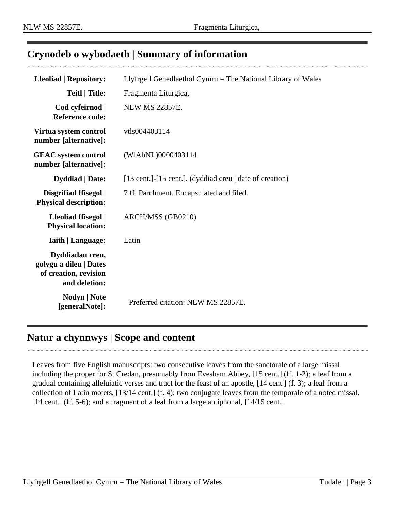### <span id="page-2-0"></span>**Crynodeb o wybodaeth | Summary of information**

| <b>Lleoliad   Repository:</b>                                                       | Llyfrgell Genedlaethol Cymru = The National Library of Wales |
|-------------------------------------------------------------------------------------|--------------------------------------------------------------|
| <b>Teitl</b>   Title:                                                               | Fragmenta Liturgica,                                         |
| Cod cyfeirnod  <br><b>Reference code:</b>                                           | <b>NLW MS 22857E.</b>                                        |
| Virtua system control<br>number [alternative]:                                      | vtls004403114                                                |
| <b>GEAC</b> system control<br>number [alternative]:                                 | (WIAbNL)0000403114                                           |
| <b>Dyddiad</b>   Date:                                                              | [13 cent.]-[15 cent.]. (dyddiad creu   date of creation)     |
| Disgrifiad ffisegol  <br><b>Physical description:</b>                               | 7 ff. Parchment. Encapsulated and filed.                     |
| Lleoliad ffisegol  <br><b>Physical location:</b>                                    | ARCH/MSS (GB0210)                                            |
| <b>Iaith   Language:</b>                                                            | Latin                                                        |
| Dyddiadau creu,<br>golygu a dileu   Dates<br>of creation, revision<br>and deletion: |                                                              |
| <b>Nodyn</b>   <b>Note</b><br>[generalNote]:                                        | Preferred citation: NLW MS 22857E.                           |

### <span id="page-2-1"></span>**Natur a chynnwys | Scope and content**

Leaves from five English manuscripts: two consecutive leaves from the sanctorale of a large missal including the proper for St Credan, presumably from Evesham Abbey, [15 cent.] (ff. 1-2); a leaf from a gradual containing alleluiatic verses and tract for the feast of an apostle, [14 cent.] (f. 3); a leaf from a collection of Latin motets, [13/14 cent.] (f. 4); two conjugate leaves from the temporale of a noted missal, [14 cent.] (ff. 5-6); and a fragment of a leaf from a large antiphonal, [14/15 cent.].